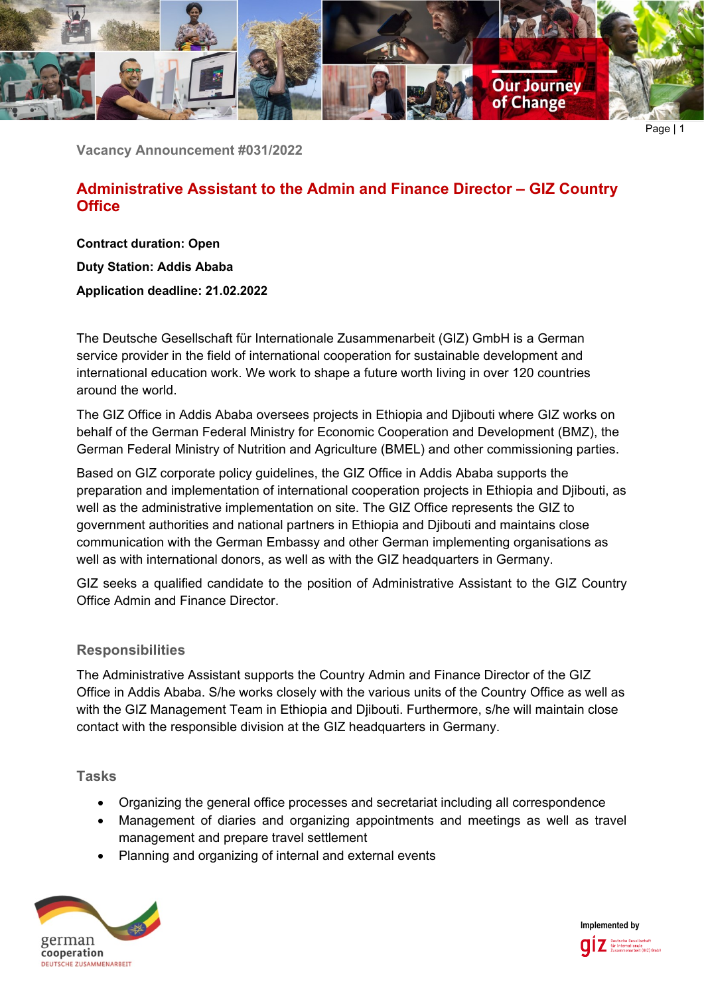

Page | 1

**Vacancy Announcement #031/2022**

# **Administrative Assistant to the Admin and Finance Director – GIZ Country Office**

**Contract duration: Open Duty Station: Addis Ababa Application deadline: 21.02.2022**

The Deutsche Gesellschaft für Internationale Zusammenarbeit (GIZ) GmbH is a German service provider in the field of international cooperation for sustainable development and international education work. We work to shape a future worth living in over 120 countries around the world.

The GIZ Office in Addis Ababa oversees projects in Ethiopia and Djibouti where GIZ works on behalf of the German Federal Ministry for Economic Cooperation and Development (BMZ), the German Federal Ministry of Nutrition and Agriculture (BMEL) and other commissioning parties.

Based on GIZ corporate policy guidelines, the GIZ Office in Addis Ababa supports the preparation and implementation of international cooperation projects in Ethiopia and Djibouti, as well as the administrative implementation on site. The GIZ Office represents the GIZ to government authorities and national partners in Ethiopia and Djibouti and maintains close communication with the German Embassy and other German implementing organisations as well as with international donors, as well as with the GIZ headquarters in Germany.

GIZ seeks a qualified candidate to the position of Administrative Assistant to the GIZ Country Office Admin and Finance Director.

## **Responsibilities**

The Administrative Assistant supports the Country Admin and Finance Director of the GIZ Office in Addis Ababa. S/he works closely with the various units of the Country Office as well as with the GIZ Management Team in Ethiopia and Djibouti. Furthermore, s/he will maintain close contact with the responsible division at the GIZ headquarters in Germany.

**Tasks**

- Organizing the general office processes and secretariat including all correspondence
- Management of diaries and organizing appointments and meetings as well as travel management and prepare travel settlement
- Planning and organizing of internal and external events



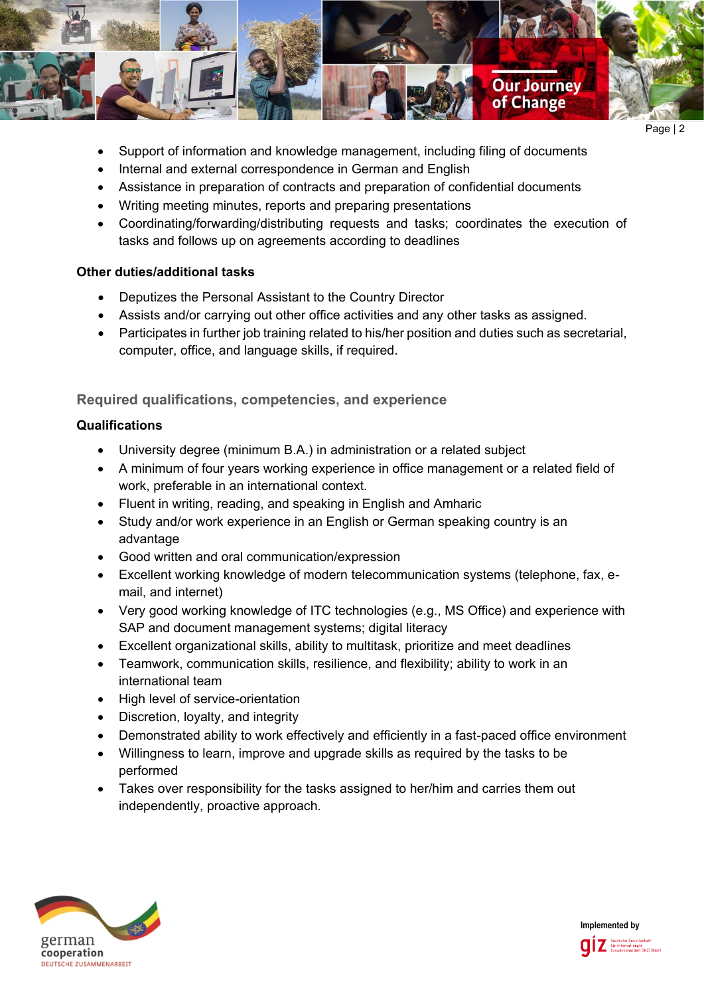

Page | 2

- Support of information and knowledge management, including filing of documents
- Internal and external correspondence in German and English
- Assistance in preparation of contracts and preparation of confidential documents
- Writing meeting minutes, reports and preparing presentations
- Coordinating/forwarding/distributing requests and tasks; coordinates the execution of tasks and follows up on agreements according to deadlines

## **Other duties/additional tasks**

- Deputizes the Personal Assistant to the Country Director
- Assists and/or carrying out other office activities and any other tasks as assigned.
- Participates in further job training related to his/her position and duties such as secretarial, computer, office, and language skills, if required.

## **Required qualifications, competencies, and experience**

## **Qualifications**

- University degree (minimum B.A.) in administration or a related subject
- A minimum of four years working experience in office management or a related field of work, preferable in an international context.
- Fluent in writing, reading, and speaking in English and Amharic
- Study and/or work experience in an English or German speaking country is an advantage
- Good written and oral communication/expression
- Excellent working knowledge of modern telecommunication systems (telephone, fax, email, and internet)
- Very good working knowledge of ITC technologies (e.g., MS Office) and experience with SAP and document management systems; digital literacy
- Excellent organizational skills, ability to multitask, prioritize and meet deadlines
- Teamwork, communication skills, resilience, and flexibility; ability to work in an international team
- High level of service-orientation
- Discretion, loyalty, and integrity
- Demonstrated ability to work effectively and efficiently in a fast-paced office environment
- Willingness to learn, improve and upgrade skills as required by the tasks to be performed
- Takes over responsibility for the tasks assigned to her/him and carries them out independently, proactive approach.